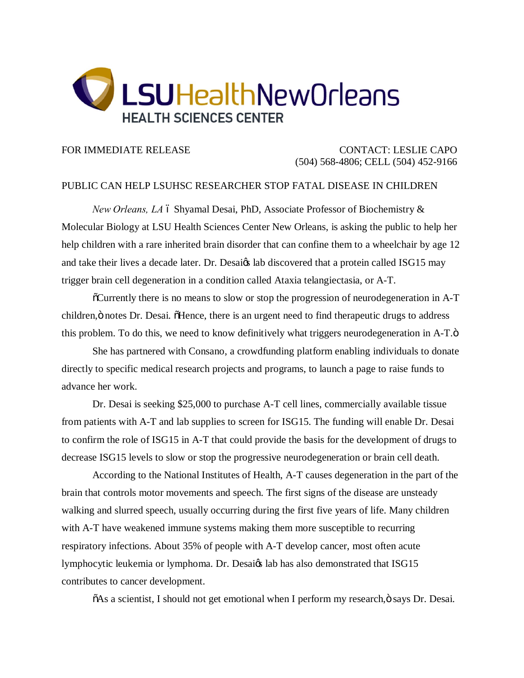

FOR IMMEDIATE RELEASE CONTACT: LESLIE CAPO (504) 568-4806; CELL (504) 452-9166

## PUBLIC CAN HELP LSUHSC RESEARCHER STOP FATAL DISEASE IN CHILDREN

*New Orleans, LA* 6 Shyamal Desai, PhD, Associate Professor of Biochemistry & Molecular Biology at LSU Health Sciences Center New Orleans, is asking the public to help her help children with a rare inherited brain disorder that can confine them to a wheelchair by age 12 and take their lives a decade later. Dr. Desaiøs lab discovered that a protein called ISG15 may trigger brain cell degeneration in a condition called Ataxia telangiectasia, or A-T.

 $\delta$ Currently there is no means to slow or stop the progression of neurodegeneration in A-T children,  $\ddot{o}$  notes Dr. Desai.  $\ddot{o}$ Hence, there is an urgent need to find therapeutic drugs to address this problem. To do this, we need to know definitively what triggers neurodegeneration in A-T. $\ddot{o}$ 

She has partnered with Consano, a crowdfunding platform enabling individuals to donate directly to specific medical research projects and programs, to launch a page to raise funds to advance her work.

Dr. Desai is seeking \$25,000 to purchase A-T cell lines, commercially available tissue from patients with A-T and lab supplies to screen for ISG15. The funding will enable Dr. Desai to confirm the role of ISG15 in A-T that could provide the basis for the development of drugs to decrease ISG15 levels to slow or stop the progressive neurodegeneration or brain cell death.

According to the National Institutes of Health, A-T causes degeneration in the part of the brain that controls motor movements and speech. The first signs of the disease are unsteady walking and slurred speech, usually occurring during the first five years of life. Many children with A-T have weakened immune systems making them more susceptible to recurring respiratory infections. About 35% of people with A-T develop cancer, most often acute lymphocytic leukemia or lymphoma. Dr. Desaiøs lab has also demonstrated that ISG15 contributes to cancer development.

 $\delta$ As a scientist, I should not get emotional when I perform my research, $\ddot{o}$  says Dr. Desai.